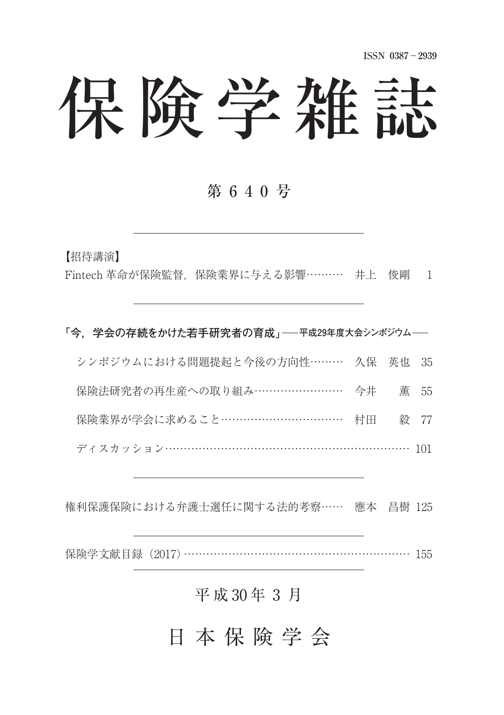# 保険学雑誌

## 第 6 4 0 号

【招待講演】

Fintech 革命が保険監督、保険業界に与える影響 ……… 井上 俊剛 1

**⽛今,学会の存続をかけた若手研究者の育成⽜ 平成29年度大会シンポジウム**

| シンポジウムにおける問題提起と今後の方向性……… 久保 英也 35   |  |  |
|-------------------------------------|--|--|
| 保険法研究者の再生産への取り組み…………………… 今井 薫 55    |  |  |
| 保険業界が学会に求めること……………………………… 村田   毅 77 |  |  |
| ディスカッション………………………………………………………… 101  |  |  |

権利保護保険における弁護士選任に関する法的考察 …… 應本 昌樹 125

保険学文献目録 (2017) …………………………………………………… 155

## 平成 30年 3月

日 本 保 険 学 会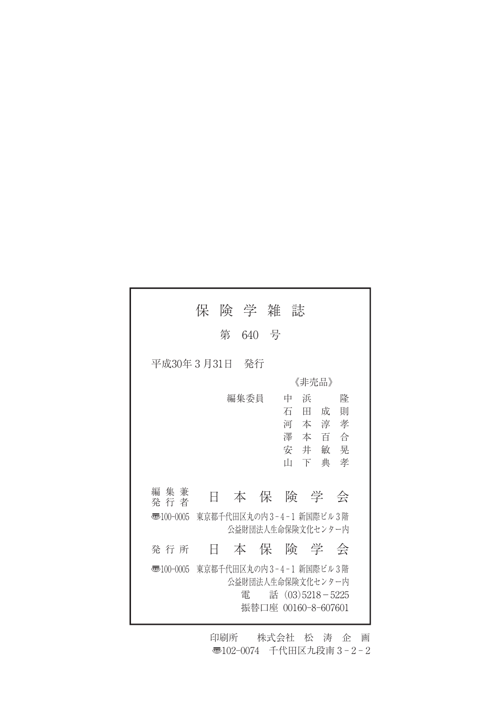|              | 保一                      | 険 学 雑 誌 |         |                |                                                                 |
|--------------|-------------------------|---------|---------|----------------|-----------------------------------------------------------------|
|              | 第                       | 640 号   |         |                |                                                                 |
| 平成30年3月31日   |                         | - 発行    |         |                |                                                                 |
|              |                         |         |         | 《非壳品》          |                                                                 |
|              |                         | 編集委員    | 中<br>īП | 浜<br>石田成<br>下典 | 降<br>則<br>河本淳孝<br>澤本百合<br>安井敏晃<br>孝                             |
| 編 集 兼<br>発行者 | Ħ                       |         |         |                | 本保険学会                                                           |
| 枣100-0005    | 東京都千代田区丸の内3-4-1 新国際ビル3階 |         |         |                | 公益財団法人生命保険文化センター内                                               |
| 発 行 所        | Ħ                       |         |         |                | 本保険学会                                                           |
| 枣100-0005    | 東京都千代田区丸の内3-4-1 新国際ビル3階 | 雷       |         |                | 公益財団法人生命保険文化センター内<br>話 $(03)5218 - 5225$<br>振替口座 00160-8-607601 |

印刷所 株式会社 松 涛 企 画 〠102-0074 千代田区九段南 3 - 2 - 2